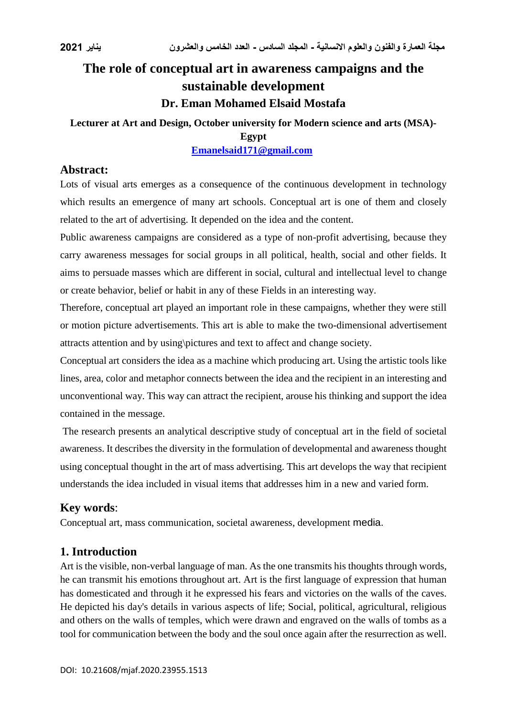# **The role of conceptual art in awareness campaigns and the sustainable development Dr. Eman Mohamed Elsaid Mostafa**

# **Lecturer at Art and Design, October university for Modern science and arts (MSA)- Egypt**

## **[Emanelsaid171@gmail.com](mailto:Emanelsaid171@gmail.com)**

#### **Abstract:**

Lots of visual arts emerges as a consequence of the continuous development in technology which results an emergence of many art schools. Conceptual art is one of them and closely related to the art of advertising. It depended on the idea and the content.

Public awareness campaigns are considered as a type of non-profit advertising, because they carry awareness messages for social groups in all political, health, social and other fields. It aims to persuade masses which are different in social, cultural and intellectual level to change or create behavior, belief or habit in any of these Fields in an interesting way.

Therefore, conceptual art played an important role in these campaigns, whether they were still or motion picture advertisements. This art is able to make the two-dimensional advertisement attracts attention and by using\pictures and text to affect and change society.

Conceptual art considers the idea as a machine which producing art. Using the artistic tools like lines, area, color and metaphor connects between the idea and the recipient in an interesting and unconventional way. This way can attract the recipient, arouse his thinking and support the idea contained in the message.

The research presents an analytical descriptive study of conceptual art in the field of societal awareness. It describes the diversity in the formulation of developmental and awareness thought using conceptual thought in the art of mass advertising. This art develops the way that recipient understands the idea included in visual items that addresses him in a new and varied form.

## **Key words**:

Conceptual art, mass communication, societal awareness, development media.

## **1. Introduction**

Art is the visible, non-verbal language of man. As the one transmits his thoughts through words, he can transmit his emotions throughout art. Art is the first language of expression that human has domesticated and through it he expressed his fears and victories on the walls of the caves. He depicted his day's details in various aspects of life; Social, political, agricultural, religious and others on the walls of temples, which were drawn and engraved on the walls of tombs as a tool for communication between the body and the soul once again after the resurrection as well.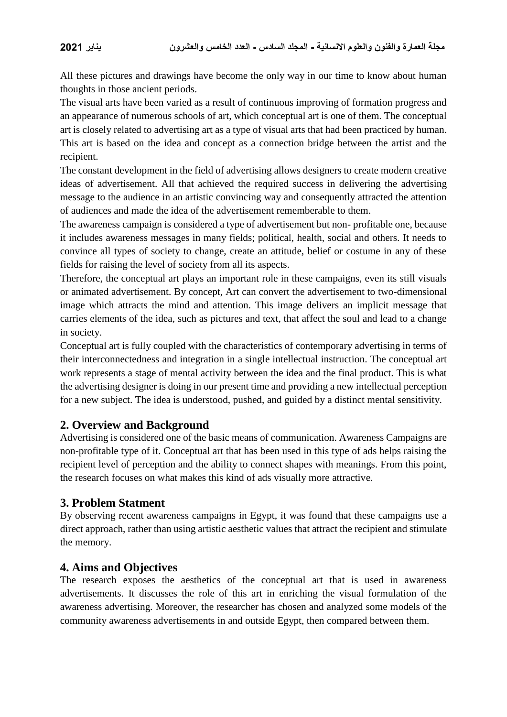All these pictures and drawings have become the only way in our time to know about human thoughts in those ancient periods.

The visual arts have been varied as a result of continuous improving of formation progress and an appearance of numerous schools of art, which conceptual art is one of them. The conceptual art is closely related to advertising art as a type of visual arts that had been practiced by human. This art is based on the idea and concept as a connection bridge between the artist and the recipient.

The constant development in the field of advertising allows designers to create modern creative ideas of advertisement. All that achieved the required success in delivering the advertising message to the audience in an artistic convincing way and consequently attracted the attention of audiences and made the idea of the advertisement rememberable to them.

The awareness campaign is considered a type of advertisement but non- profitable one, because it includes awareness messages in many fields; political, health, social and others. It needs to convince all types of society to change, create an attitude, belief or costume in any of these fields for raising the level of society from all its aspects.

Therefore, the conceptual art plays an important role in these campaigns, even its still visuals or animated advertisement. By concept, Art can convert the advertisement to two-dimensional image which attracts the mind and attention. This image delivers an implicit message that carries elements of the idea, such as pictures and text, that affect the soul and lead to a change in society.

Conceptual art is fully coupled with the characteristics of contemporary advertising in terms of their interconnectedness and integration in a single intellectual instruction. The conceptual art work represents a stage of mental activity between the idea and the final product. This is what the advertising designer is doing in our present time and providing a new intellectual perception for a new subject. The idea is understood, pushed, and guided by a distinct mental sensitivity.

## **2. Overview and Background**

Advertising is considered one of the basic means of communication. Awareness Campaigns are non-profitable type of it. Conceptual art that has been used in this type of ads helps raising the recipient level of perception and the ability to connect shapes with meanings. From this point, the research focuses on what makes this kind of ads visually more attractive.

## **3. Problem Statment**

By observing recent awareness campaigns in Egypt, it was found that these campaigns use a direct approach, rather than using artistic aesthetic values that attract the recipient and stimulate the memory.

## **4. Aims and Objectives**

The research exposes the aesthetics of the conceptual art that is used in awareness advertisements. It discusses the role of this art in enriching the visual formulation of the awareness advertising. Moreover, the researcher has chosen and analyzed some models of the community awareness advertisements in and outside Egypt, then compared between them.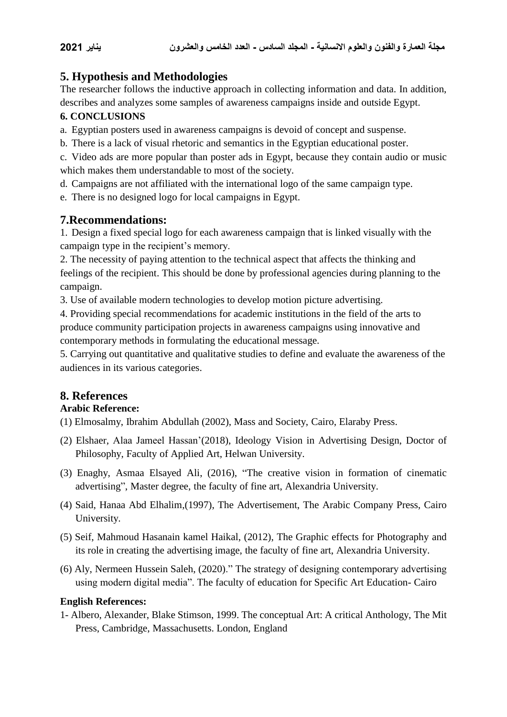# **5. Hypothesis and Methodologies**

The researcher follows the inductive approach in collecting information and data. In addition, describes and analyzes some samples of awareness campaigns inside and outside Egypt.

#### **6. CONCLUSIONS**

a. Egyptian posters used in awareness campaigns is devoid of concept and suspense.

b. There is a lack of visual rhetoric and semantics in the Egyptian educational poster.

c. Video ads are more popular than poster ads in Egypt, because they contain audio or music which makes them understandable to most of the society.

d. Campaigns are not affiliated with the international logo of the same campaign type.

e. There is no designed logo for local campaigns in Egypt.

## **7.Recommendations:**

1. Design a fixed special logo for each awareness campaign that is linked visually with the campaign type in the recipient's memory.

2. The necessity of paying attention to the technical aspect that affects the thinking and feelings of the recipient. This should be done by professional agencies during planning to the campaign.

3. Use of available modern technologies to develop motion picture advertising.

4. Providing special recommendations for academic institutions in the field of the arts to produce community participation projects in awareness campaigns using innovative and contemporary methods in formulating the educational message.

5. Carrying out quantitative and qualitative studies to define and evaluate the awareness of the audiences in its various categories.

# **8. References**

#### **Arabic Reference:**

(1) Elmosalmy, Ibrahim Abdullah (2002), Mass and Society, Cairo, Elaraby Press.

- (2) Elshaer, Alaa Jameel Hassan'(2018), Ideology Vision in Advertising Design, Doctor of Philosophy, Faculty of Applied Art, Helwan University.
- (3) Enaghy, Asmaa Elsayed Ali, (2016), "The creative vision in formation of cinematic advertising", Master degree, the faculty of fine art, Alexandria University.
- (4) Said, Hanaa Abd Elhalim,(1997), The Advertisement, The Arabic Company Press, Cairo University.
- (5) Seif, Mahmoud Hasanain kamel Haikal, (2012), The Graphic effects for Photography and its role in creating the advertising image, the faculty of fine art, Alexandria University.
- (6) Aly, Nermeen Hussein Saleh, (2020)." The strategy of designing contemporary advertising using modern digital media". The faculty of education for Specific Art Education- Cairo

#### **English References:**

1- Albero, Alexander, Blake Stimson, 1999. The conceptual Art: A critical Anthology, The Mit Press, Cambridge, Massachusetts. London, England